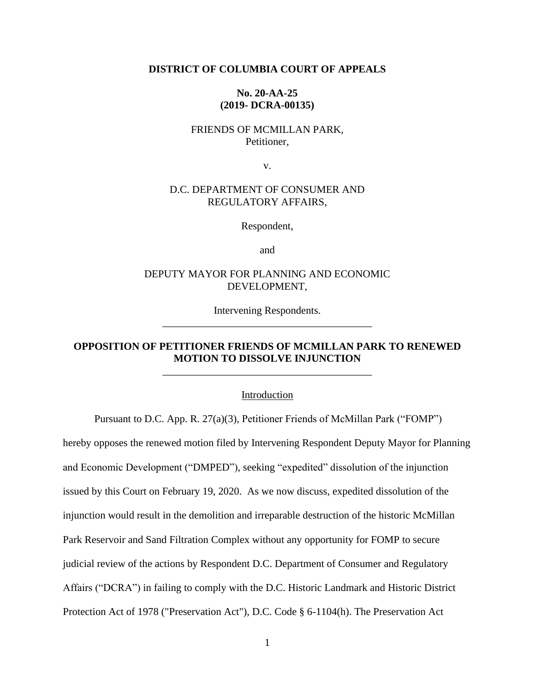#### **DISTRICT OF COLUMBIA COURT OF APPEALS**

### **No. 20-AA-25 (2019- DCRA-00135)**

## FRIENDS OF MCMILLAN PARK, Petitioner,

v.

### D.C. DEPARTMENT OF CONSUMER AND REGULATORY AFFAIRS,

Respondent,

and

### DEPUTY MAYOR FOR PLANNING AND ECONOMIC DEVELOPMENT,

Intervening Respondents. \_\_\_\_\_\_\_\_\_\_\_\_\_\_\_\_\_\_\_\_\_\_\_\_\_\_\_\_\_\_\_\_\_\_\_\_\_\_\_\_

## **OPPOSITION OF PETITIONER FRIENDS OF MCMILLAN PARK TO RENEWED MOTION TO DISSOLVE INJUNCTION** \_\_\_\_\_\_\_\_\_\_\_\_\_\_\_\_\_\_\_\_\_\_\_\_\_\_\_\_\_\_\_\_\_\_\_\_\_\_\_\_

Introduction

Pursuant to D.C. App. R. 27(a)(3), Petitioner Friends of McMillan Park ("FOMP")

hereby opposes the renewed motion filed by Intervening Respondent Deputy Mayor for Planning and Economic Development ("DMPED"), seeking "expedited" dissolution of the injunction issued by this Court on February 19, 2020. As we now discuss, expedited dissolution of the injunction would result in the demolition and irreparable destruction of the historic McMillan Park Reservoir and Sand Filtration Complex without any opportunity for FOMP to secure judicial review of the actions by Respondent D.C. Department of Consumer and Regulatory Affairs ("DCRA") in failing to comply with the D.C. Historic Landmark and Historic District Protection Act of 1978 ("Preservation Act"), D.C. Code § 6-1104(h). The Preservation Act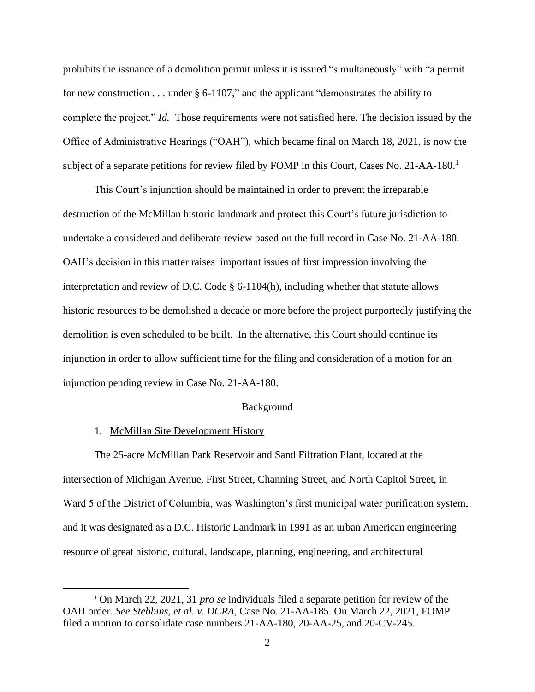prohibits the issuance of a demolition permit unless it is issued "simultaneously" with "a permit for new construction . . . under § 6-1107," and the applicant "demonstrates the ability to complete the project." *Id.* Those requirements were not satisfied here. The decision issued by the Office of Administrative Hearings ("OAH"), which became final on March 18, 2021, is now the subject of a separate petitions for review filed by FOMP in this Court, Cases No. 21-AA-180.<sup>1</sup>

This Court's injunction should be maintained in order to prevent the irreparable destruction of the McMillan historic landmark and protect this Court's future jurisdiction to undertake a considered and deliberate review based on the full record in Case No. 21-AA-180. OAH's decision in this matter raises important issues of first impression involving the interpretation and review of D.C. Code § 6-1104(h), including whether that statute allows historic resources to be demolished a decade or more before the project purportedly justifying the demolition is even scheduled to be built. In the alternative, this Court should continue its injunction in order to allow sufficient time for the filing and consideration of a motion for an injunction pending review in Case No. 21-AA-180.

#### Background

#### 1. McMillan Site Development History

The 25-acre McMillan Park Reservoir and Sand Filtration Plant, located at the intersection of Michigan Avenue, First Street, Channing Street, and North Capitol Street, in Ward 5 of the District of Columbia, was Washington's first municipal water purification system, and it was designated as a D.C. Historic Landmark in 1991 as an urban American engineering resource of great historic, cultural, landscape, planning, engineering, and architectural

<sup>1</sup> On March 22, 2021, 31 *pro se* individuals filed a separate petition for review of the OAH order. *See Stebbins, et al. v. DCRA,* Case No. 21-AA-185. On March 22, 2021, FOMP filed a motion to consolidate case numbers 21-AA-180, 20-AA-25, and 20-CV-245.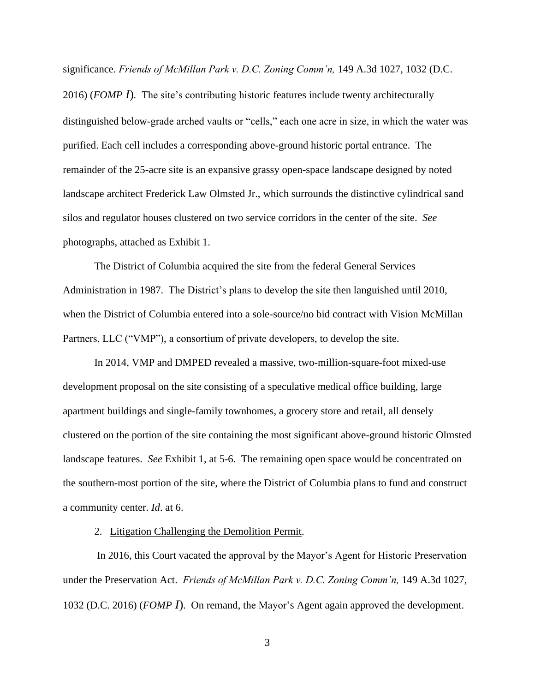significance. *Friends of McMillan Park v. D.C. Zoning Comm'n,* 149 A.3d 1027, 1032 (D.C.

2016) (*FOMP I*)*.* The site's contributing historic features include twenty architecturally distinguished below-grade arched vaults or "cells," each one acre in size, in which the water was purified. Each cell includes a corresponding above-ground historic portal entrance. The remainder of the 25-acre site is an expansive grassy open-space landscape designed by noted landscape architect Frederick Law Olmsted Jr., which surrounds the distinctive cylindrical sand silos and regulator houses clustered on two service corridors in the center of the site. *See* photographs, attached as Exhibit 1.

The District of Columbia acquired the site from the federal General Services Administration in 1987. The District's plans to develop the site then languished until 2010, when the District of Columbia entered into a sole-source/no bid contract with Vision McMillan Partners, LLC ("VMP"), a consortium of private developers, to develop the site.

In 2014, VMP and DMPED revealed a massive, two-million-square-foot mixed-use development proposal on the site consisting of a speculative medical office building, large apartment buildings and single-family townhomes, a grocery store and retail, all densely clustered on the portion of the site containing the most significant above-ground historic Olmsted landscape features. *See* Exhibit 1, at 5-6. The remaining open space would be concentrated on the southern-most portion of the site, where the District of Columbia plans to fund and construct a community center. *Id*. at 6.

### 2. Litigation Challenging the Demolition Permit.

In 2016, this Court vacated the approval by the Mayor's Agent for Historic Preservation under the Preservation Act. *Friends of McMillan Park v. D.C. Zoning Comm'n,* 149 A.3d 1027, 1032 (D.C. 2016) (*FOMP I*). On remand, the Mayor's Agent again approved the development.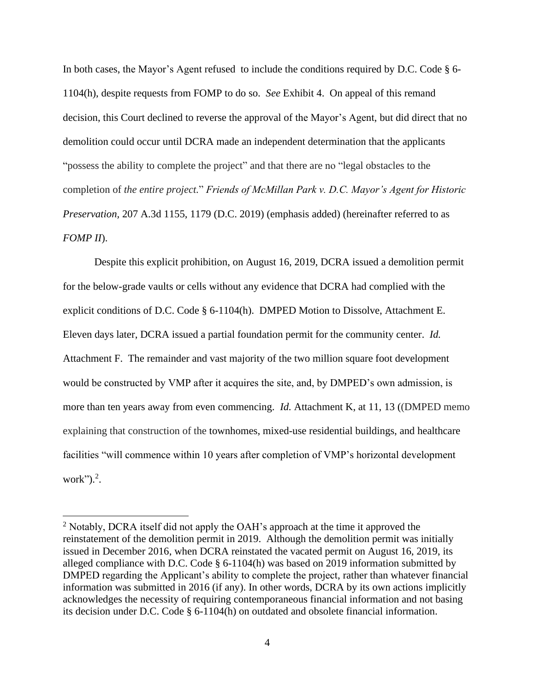In both cases, the Mayor's Agent refused to include the conditions required by D.C. Code § 6- 1104(h), despite requests from FOMP to do so. *See* Exhibit 4. On appeal of this remand decision, this Court declined to reverse the approval of the Mayor's Agent, but did direct that no demolition could occur until DCRA made an independent determination that the applicants "possess the ability to complete the project" and that there are no "legal obstacles to the completion of *the entire project.*" *Friends of McMillan Park v. D.C. Mayor's Agent for Historic Preservation,* 207 A.3d 1155, 1179 (D.C. 2019) (emphasis added) (hereinafter referred to as *FOMP II*).

Despite this explicit prohibition, on August 16, 2019, DCRA issued a demolition permit for the below-grade vaults or cells without any evidence that DCRA had complied with the explicit conditions of D.C. Code § 6-1104(h). DMPED Motion to Dissolve, Attachment E. Eleven days later, DCRA issued a partial foundation permit for the community center. *Id.*  Attachment F. The remainder and vast majority of the two million square foot development would be constructed by VMP after it acquires the site, and, by DMPED's own admission, is more than ten years away from even commencing. *Id.* Attachment K, at 11, 13 ((DMPED memo explaining that construction of the townhomes, mixed-use residential buildings, and healthcare facilities "will commence within 10 years after completion of VMP's horizontal development work" $)^2$ .

<sup>&</sup>lt;sup>2</sup> Notably, DCRA itself did not apply the OAH's approach at the time it approved the reinstatement of the demolition permit in 2019. Although the demolition permit was initially issued in December 2016, when DCRA reinstated the vacated permit on August 16, 2019, its alleged compliance with D.C. Code § 6-1104(h) was based on 2019 information submitted by DMPED regarding the Applicant's ability to complete the project, rather than whatever financial information was submitted in 2016 (if any). In other words, DCRA by its own actions implicitly acknowledges the necessity of requiring contemporaneous financial information and not basing its decision under D.C. Code § 6-1104(h) on outdated and obsolete financial information.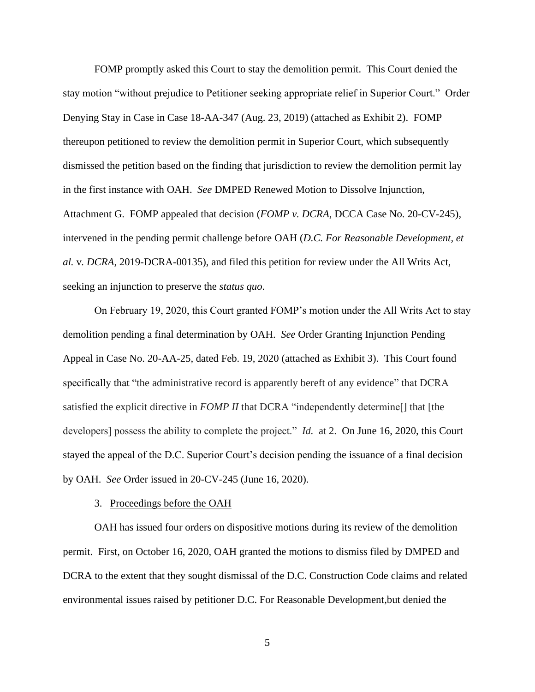FOMP promptly asked this Court to stay the demolition permit. This Court denied the stay motion "without prejudice to Petitioner seeking appropriate relief in Superior Court." Order Denying Stay in Case in Case 18-AA-347 (Aug. 23, 2019) (attached as Exhibit 2). FOMP thereupon petitioned to review the demolition permit in Superior Court, which subsequently dismissed the petition based on the finding that jurisdiction to review the demolition permit lay in the first instance with OAH. *See* DMPED Renewed Motion to Dissolve Injunction, Attachment G. FOMP appealed that decision (*FOMP v. DCRA*, DCCA Case No. 20-CV-245), intervened in the pending permit challenge before OAH (*D.C. For Reasonable Development, et al.* v*. DCRA*, 2019-DCRA-00135), and filed this petition for review under the All Writs Act, seeking an injunction to preserve the *status quo*.

On February 19, 2020, this Court granted FOMP's motion under the All Writs Act to stay demolition pending a final determination by OAH. *See* Order Granting Injunction Pending Appeal in Case No. 20-AA-25, dated Feb. 19, 2020 (attached as Exhibit 3). This Court found specifically that "the administrative record is apparently bereft of any evidence" that DCRA satisfied the explicit directive in *FOMP II* that DCRA "independently determine[] that [the developers] possess the ability to complete the project." *Id.* at 2. On June 16, 2020, this Court stayed the appeal of the D.C. Superior Court's decision pending the issuance of a final decision by OAH. *See* Order issued in 20-CV-245 (June 16, 2020).

#### 3. Proceedings before the OAH

OAH has issued four orders on dispositive motions during its review of the demolition permit. First, on October 16, 2020, OAH granted the motions to dismiss filed by DMPED and DCRA to the extent that they sought dismissal of the D.C. Construction Code claims and related environmental issues raised by petitioner D.C. For Reasonable Development,but denied the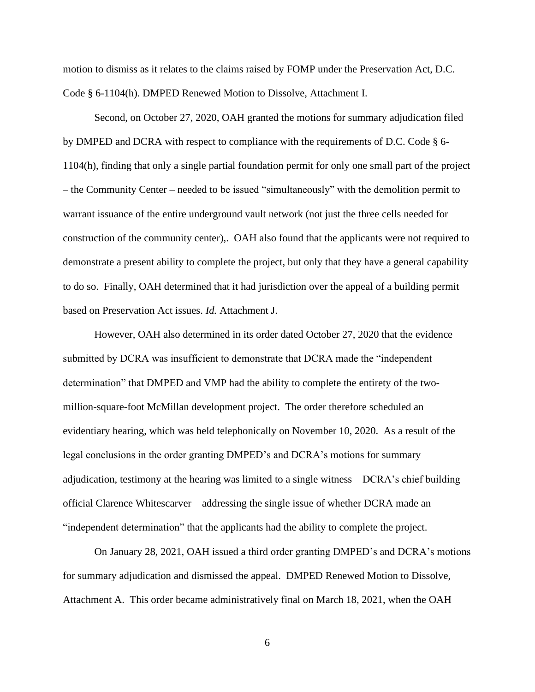motion to dismiss as it relates to the claims raised by FOMP under the Preservation Act, D.C. Code § 6-1104(h). DMPED Renewed Motion to Dissolve, Attachment I.

Second, on October 27, 2020, OAH granted the motions for summary adjudication filed by DMPED and DCRA with respect to compliance with the requirements of D.C. Code § 6- 1104(h), finding that only a single partial foundation permit for only one small part of the project – the Community Center – needed to be issued "simultaneously" with the demolition permit to warrant issuance of the entire underground vault network (not just the three cells needed for construction of the community center),. OAH also found that the applicants were not required to demonstrate a present ability to complete the project, but only that they have a general capability to do so. Finally, OAH determined that it had jurisdiction over the appeal of a building permit based on Preservation Act issues. *Id.* Attachment J.

However, OAH also determined in its order dated October 27, 2020 that the evidence submitted by DCRA was insufficient to demonstrate that DCRA made the "independent determination" that DMPED and VMP had the ability to complete the entirety of the twomillion-square-foot McMillan development project. The order therefore scheduled an evidentiary hearing, which was held telephonically on November 10, 2020. As a result of the legal conclusions in the order granting DMPED's and DCRA's motions for summary adjudication, testimony at the hearing was limited to a single witness – DCRA's chief building official Clarence Whitescarver – addressing the single issue of whether DCRA made an "independent determination" that the applicants had the ability to complete the project.

On January 28, 2021, OAH issued a third order granting DMPED's and DCRA's motions for summary adjudication and dismissed the appeal. DMPED Renewed Motion to Dissolve, Attachment A. This order became administratively final on March 18, 2021, when the OAH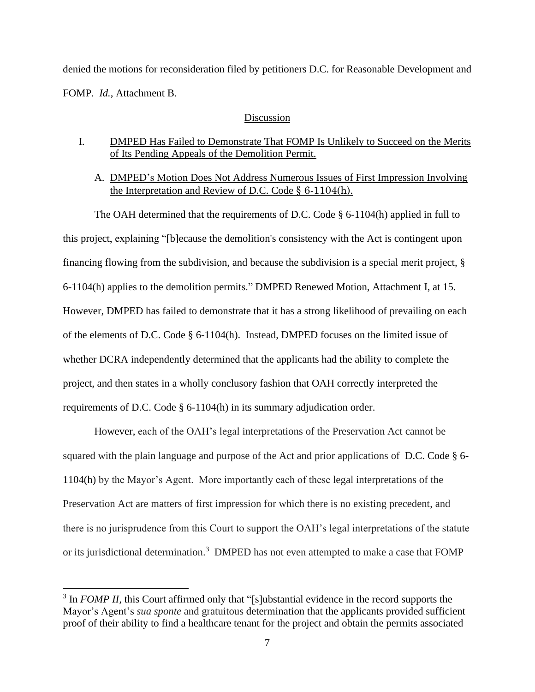denied the motions for reconsideration filed by petitioners D.C. for Reasonable Development and FOMP. *Id.*, Attachment B.

#### Discussion

- I. DMPED Has Failed to Demonstrate That FOMP Is Unlikely to Succeed on the Merits of Its Pending Appeals of the Demolition Permit.
	- A. DMPED's Motion Does Not Address Numerous Issues of First Impression Involving the Interpretation and Review of D.C. Code  $\S$  6-1104(h).

The OAH determined that the requirements of D.C. Code § 6-1104(h) applied in full to this project, explaining "[b]ecause the demolition's consistency with the Act is contingent upon financing flowing from the subdivision, and because the subdivision is a special merit project, § 6-1104(h) applies to the demolition permits." DMPED Renewed Motion, Attachment I, at 15. However, DMPED has failed to demonstrate that it has a strong likelihood of prevailing on each of the elements of D.C. Code § 6-1104(h). Instead, DMPED focuses on the limited issue of whether DCRA independently determined that the applicants had the ability to complete the project, and then states in a wholly conclusory fashion that OAH correctly interpreted the requirements of D.C. Code § 6-1104(h) in its summary adjudication order.

However, each of the OAH's legal interpretations of the Preservation Act cannot be squared with the plain language and purpose of the Act and prior applications of D.C. Code § 6- 1104(h) by the Mayor's Agent. More importantly each of these legal interpretations of the Preservation Act are matters of first impression for which there is no existing precedent, and there is no jurisprudence from this Court to support the OAH's legal interpretations of the statute or its jurisdictional determination.<sup>3</sup> DMPED has not even attempted to make a case that FOMP

<sup>&</sup>lt;sup>3</sup> In *FOMP II*, this Court affirmed only that "[s]ubstantial evidence in the record supports the Mayor's Agent's *sua sponte* and gratuitous determination that the applicants provided sufficient proof of their ability to find a healthcare tenant for the project and obtain the permits associated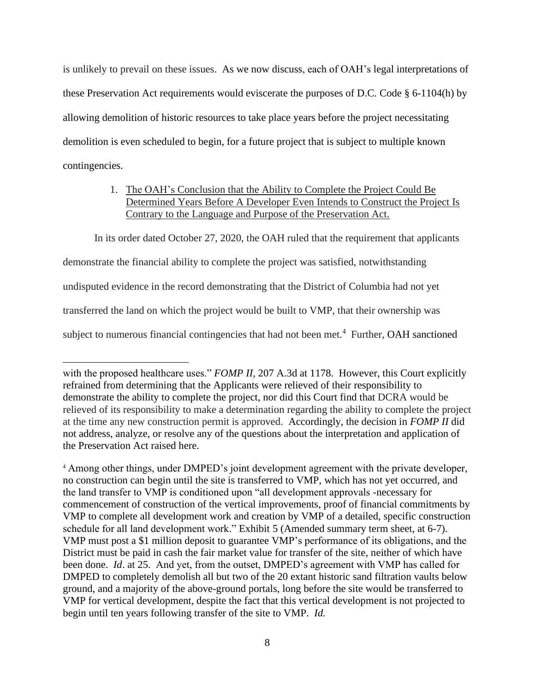is unlikely to prevail on these issues. As we now discuss, each of OAH's legal interpretations of these Preservation Act requirements would eviscerate the purposes of D.C. Code § 6-1104(h) by allowing demolition of historic resources to take place years before the project necessitating demolition is even scheduled to begin, for a future project that is subject to multiple known contingencies.

# 1. The OAH's Conclusion that the Ability to Complete the Project Could Be Determined Years Before A Developer Even Intends to Construct the Project Is Contrary to the Language and Purpose of the Preservation Act.

In its order dated October 27, 2020, the OAH ruled that the requirement that applicants

demonstrate the financial ability to complete the project was satisfied, notwithstanding

undisputed evidence in the record demonstrating that the District of Columbia had not yet

transferred the land on which the project would be built to VMP, that their ownership was

subject to numerous financial contingencies that had not been met.<sup>4</sup> Further, OAH sanctioned

<sup>4</sup> Among other things, under DMPED's joint development agreement with the private developer, no construction can begin until the site is transferred to VMP, which has not yet occurred, and the land transfer to VMP is conditioned upon "all development approvals -necessary for commencement of construction of the vertical improvements, proof of financial commitments by VMP to complete all development work and creation by VMP of a detailed, specific construction schedule for all land development work." Exhibit 5 (Amended summary term sheet, at 6-7). VMP must post a \$1 million deposit to guarantee VMP's performance of its obligations, and the District must be paid in cash the fair market value for transfer of the site, neither of which have been done. *Id*. at 25. And yet, from the outset, DMPED's agreement with VMP has called for DMPED to completely demolish all but two of the 20 extant historic sand filtration vaults below ground, and a majority of the above-ground portals, long before the site would be transferred to VMP for vertical development, despite the fact that this vertical development is not projected to begin until ten years following transfer of the site to VMP. *Id.* 

with the proposed healthcare uses." *FOMP II*, 207 A.3d at 1178. However, this Court explicitly refrained from determining that the Applicants were relieved of their responsibility to demonstrate the ability to complete the project, nor did this Court find that DCRA would be relieved of its responsibility to make a determination regarding the ability to complete the project at the time any new construction permit is approved. Accordingly, the decision in *FOMP II* did not address, analyze, or resolve any of the questions about the interpretation and application of the Preservation Act raised here.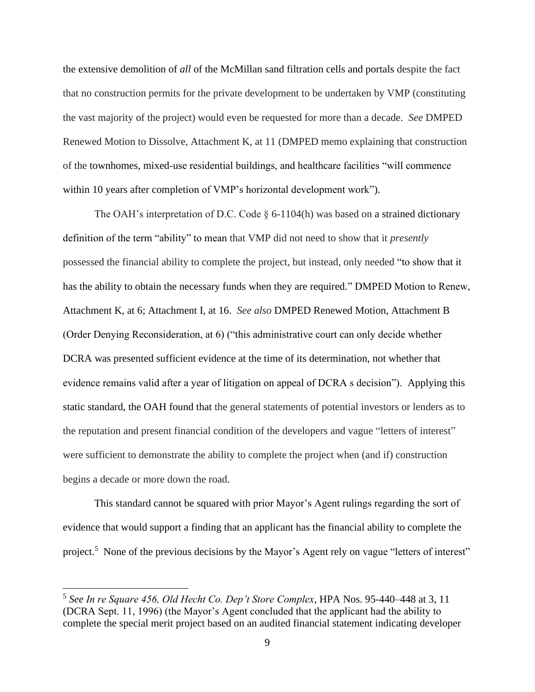the extensive demolition of *all* of the McMillan sand filtration cells and portals despite the fact that no construction permits for the private development to be undertaken by VMP (constituting the vast majority of the project) would even be requested for more than a decade. *See* DMPED Renewed Motion to Dissolve, Attachment K, at 11 (DMPED memo explaining that construction of the townhomes, mixed-use residential buildings, and healthcare facilities "will commence within 10 years after completion of VMP's horizontal development work").

The OAH's interpretation of D.C. Code  $\S$  6-1104(h) was based on a strained dictionary definition of the term "ability" to mean that VMP did not need to show that it *presently* possessed the financial ability to complete the project, but instead, only needed "to show that it has the ability to obtain the necessary funds when they are required." DMPED Motion to Renew, Attachment K, at 6; Attachment I, at 16. *See also* DMPED Renewed Motion, Attachment B (Order Denying Reconsideration, at 6) ("this administrative court can only decide whether DCRA was presented sufficient evidence at the time of its determination, not whether that evidence remains valid after a year of litigation on appeal of DCRA s decision"). Applying this static standard, the OAH found that the general statements of potential investors or lenders as to the reputation and present financial condition of the developers and vague "letters of interest" were sufficient to demonstrate the ability to complete the project when (and if) construction begins a decade or more down the road.

This standard cannot be squared with prior Mayor's Agent rulings regarding the sort of evidence that would support a finding that an applicant has the financial ability to complete the project.<sup>5</sup> None of the previous decisions by the Mayor's Agent rely on vague "letters of interest"

<sup>5</sup> *See In re Square 456, Old Hecht Co. Dep't Store Complex*, HPA Nos. 95-440–448 at 3, 11 (DCRA Sept. 11, 1996) (the Mayor's Agent concluded that the applicant had the ability to complete the special merit project based on an audited financial statement indicating developer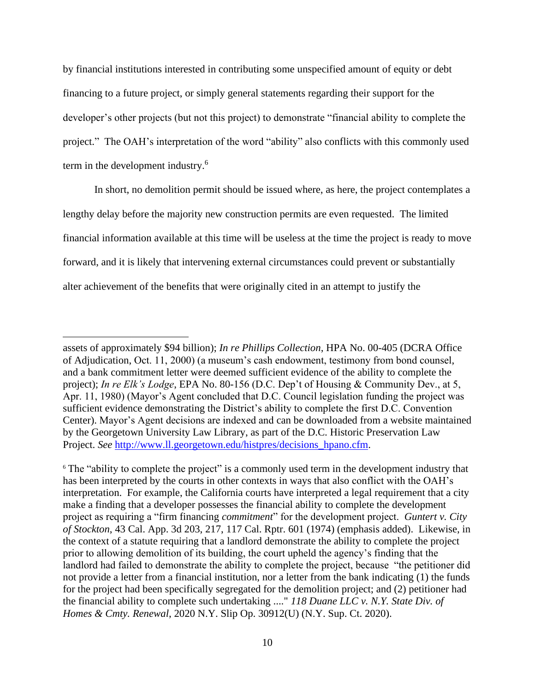by financial institutions interested in contributing some unspecified amount of equity or debt financing to a future project, or simply general statements regarding their support for the developer's other projects (but not this project) to demonstrate "financial ability to complete the project." The OAH's interpretation of the word "ability" also conflicts with this commonly used term in the development industry.<sup>6</sup>

In short, no demolition permit should be issued where, as here, the project contemplates a lengthy delay before the majority new construction permits are even requested. The limited financial information available at this time will be useless at the time the project is ready to move forward, and it is likely that intervening external circumstances could prevent or substantially alter achievement of the benefits that were originally cited in an attempt to justify the

assets of approximately \$94 billion); *In re Phillips Collection*, HPA No. 00-405 (DCRA Office of Adjudication, Oct. 11, 2000) (a museum's cash endowment, testimony from bond counsel, and a bank commitment letter were deemed sufficient evidence of the ability to complete the project); *In re Elk's Lodge*, EPA No. 80-156 (D.C. Dep't of Housing & Community Dev., at 5, Apr. 11, 1980) (Mayor's Agent concluded that D.C. Council legislation funding the project was sufficient evidence demonstrating the District's ability to complete the first D.C. Convention Center). Mayor's Agent decisions are indexed and can be downloaded from a website maintained by the Georgetown University Law Library, as part of the D.C. Historic Preservation Law Project. *See* [http://www.ll.georgetown.edu/histpres/decisions\\_hpano.cfm.](http://www.ll.georgetown.edu/histpres/decisions_hpano.cfm)

<sup>&</sup>lt;sup>6</sup> The "ability to complete the project" is a commonly used term in the development industry that has been interpreted by the courts in other contexts in ways that also conflict with the OAH's interpretation. For example, the California courts have interpreted a legal requirement that a city make a finding that a developer possesses the financial ability to complete the development project as requiring a "firm financing *commitment*" for the development project. *Guntert v. City of Stockton*, 43 Cal. App. 3d 203, 217, 117 Cal. Rptr. 601 (1974) (emphasis added). Likewise, in the context of a statute requiring that a landlord demonstrate the ability to complete the project prior to allowing demolition of its building, the court upheld the agency's finding that the landlord had failed to demonstrate the ability to complete the project, because "the petitioner did not provide a letter from a financial institution, nor a letter from the bank indicating (1) the funds for the project had been specifically segregated for the demolition project; and (2) petitioner had the financial ability to complete such undertaking ...." *118 Duane LLC v. N.Y. State Div. of Homes & Cmty. Renewal*, 2020 N.Y. Slip Op. 30912(U) (N.Y. Sup. Ct. 2020).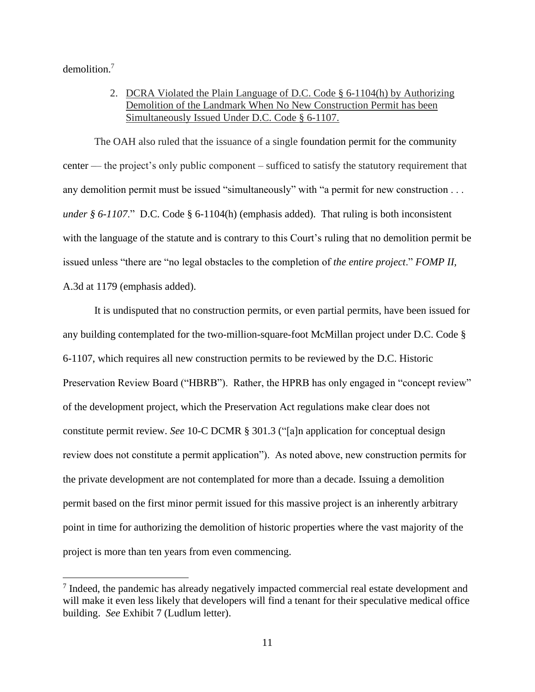demolition.<sup>7</sup>

2. DCRA Violated the Plain Language of D.C. Code § 6-1104(h) by Authorizing Demolition of the Landmark When No New Construction Permit has been Simultaneously Issued Under D.C. Code § 6-1107.

The OAH also ruled that the issuance of a single foundation permit for the community center –– the project's only public component – sufficed to satisfy the statutory requirement that any demolition permit must be issued "simultaneously" with "a permit for new construction . . . *under § 6-1107.*" D.C. Code § 6-1104(h) (emphasis added). That ruling is both inconsistent with the language of the statute and is contrary to this Court's ruling that no demolition permit be issued unless "there are "no legal obstacles to the completion of *the entire project*." *FOMP II,*  A.3d at 1179 (emphasis added).

It is undisputed that no construction permits, or even partial permits, have been issued for any building contemplated for the two-million-square-foot McMillan project under D.C. Code § 6-1107, which requires all new construction permits to be reviewed by the D.C. Historic Preservation Review Board ("HBRB"). Rather, the HPRB has only engaged in "concept review" of the development project, which the Preservation Act regulations make clear does not constitute permit review. *See* 10-C DCMR § 301.3 ("[a]n application for conceptual design review does not constitute a permit application"). As noted above, new construction permits for the private development are not contemplated for more than a decade. Issuing a demolition permit based on the first minor permit issued for this massive project is an inherently arbitrary point in time for authorizing the demolition of historic properties where the vast majority of the project is more than ten years from even commencing.

 $<sup>7</sup>$  Indeed, the pandemic has already negatively impacted commercial real estate development and</sup> will make it even less likely that developers will find a tenant for their speculative medical office building. *See* Exhibit 7 (Ludlum letter).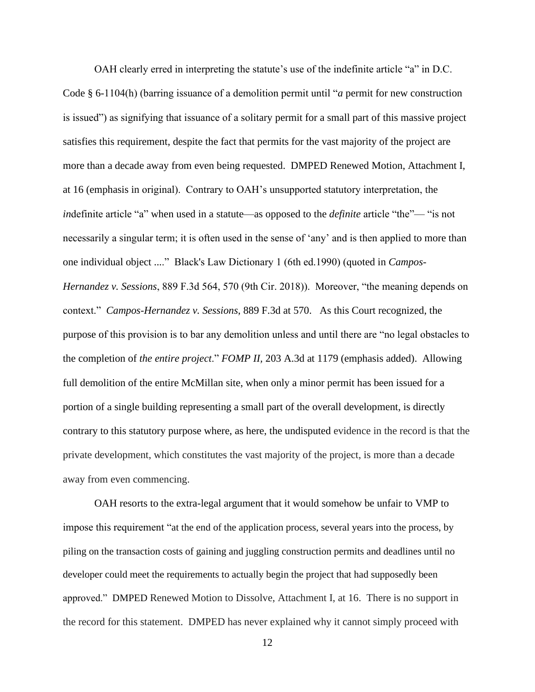OAH clearly erred in interpreting the statute's use of the indefinite article "a" in D.C. Code § 6-1104(h) (barring issuance of a demolition permit until "*a* permit for new construction is issued") as signifying that issuance of a solitary permit for a small part of this massive project satisfies this requirement, despite the fact that permits for the vast majority of the project are more than a decade away from even being requested. DMPED Renewed Motion, Attachment I, at 16 (emphasis in original). Contrary to OAH's unsupported statutory interpretation, the *indefinite article* "a" when used in a statute—as opposed to the *definite* article "the"— "is not necessarily a singular term; it is often used in the sense of 'any' and is then applied to more than one individual object ...." Black's Law Dictionary 1 (6th ed.1990) (quoted in *Campos-Hernandez v. Sessions*, 889 F.3d 564, 570 (9th Cir. 2018)). Moreover, "the meaning depends on context." *Campos-Hernandez v. Sessions*, 889 F.3d at 570.As this Court recognized, the purpose of this provision is to bar any demolition unless and until there are "no legal obstacles to the completion of *the entire project*." *FOMP II,* 203 A.3d at 1179 (emphasis added). Allowing full demolition of the entire McMillan site, when only a minor permit has been issued for a portion of a single building representing a small part of the overall development, is directly contrary to this statutory purpose where, as here, the undisputed evidence in the record is that the private development, which constitutes the vast majority of the project, is more than a decade away from even commencing.

OAH resorts to the extra-legal argument that it would somehow be unfair to VMP to impose this requirement "at the end of the application process, several years into the process, by piling on the transaction costs of gaining and juggling construction permits and deadlines until no developer could meet the requirements to actually begin the project that had supposedly been approved." DMPED Renewed Motion to Dissolve, Attachment I, at 16. There is no support in the record for this statement. DMPED has never explained why it cannot simply proceed with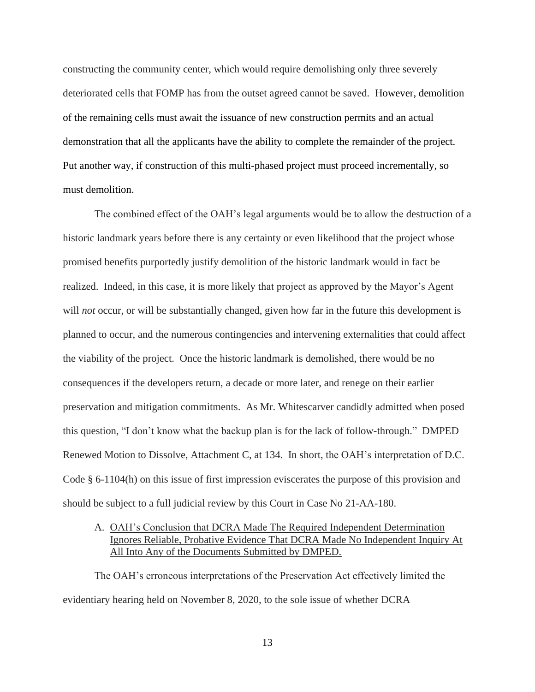constructing the community center, which would require demolishing only three severely deteriorated cells that FOMP has from the outset agreed cannot be saved. However, demolition of the remaining cells must await the issuance of new construction permits and an actual demonstration that all the applicants have the ability to complete the remainder of the project. Put another way, if construction of this multi-phased project must proceed incrementally, so must demolition.

The combined effect of the OAH's legal arguments would be to allow the destruction of a historic landmark years before there is any certainty or even likelihood that the project whose promised benefits purportedly justify demolition of the historic landmark would in fact be realized. Indeed, in this case, it is more likely that project as approved by the Mayor's Agent will *not* occur, or will be substantially changed, given how far in the future this development is planned to occur, and the numerous contingencies and intervening externalities that could affect the viability of the project. Once the historic landmark is demolished, there would be no consequences if the developers return, a decade or more later, and renege on their earlier preservation and mitigation commitments. As Mr. Whitescarver candidly admitted when posed this question, "I don't know what the backup plan is for the lack of follow-through." DMPED Renewed Motion to Dissolve, Attachment C, at 134. In short, the OAH's interpretation of D.C. Code § 6-1104(h) on this issue of first impression eviscerates the purpose of this provision and should be subject to a full judicial review by this Court in Case No 21-AA-180.

# A. OAH's Conclusion that DCRA Made The Required Independent Determination Ignores Reliable, Probative Evidence That DCRA Made No Independent Inquiry At All Into Any of the Documents Submitted by DMPED.

The OAH's erroneous interpretations of the Preservation Act effectively limited the evidentiary hearing held on November 8, 2020, to the sole issue of whether DCRA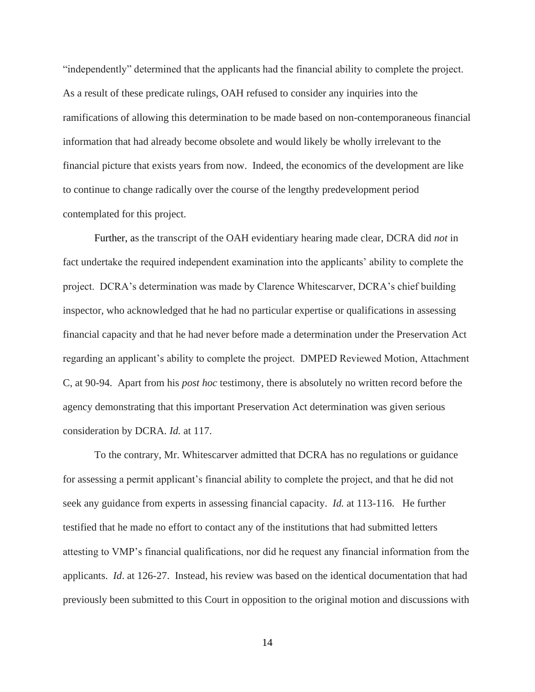"independently" determined that the applicants had the financial ability to complete the project. As a result of these predicate rulings, OAH refused to consider any inquiries into the ramifications of allowing this determination to be made based on non-contemporaneous financial information that had already become obsolete and would likely be wholly irrelevant to the financial picture that exists years from now. Indeed, the economics of the development are like to continue to change radically over the course of the lengthy predevelopment period contemplated for this project.

Further, as the transcript of the OAH evidentiary hearing made clear, DCRA did *not* in fact undertake the required independent examination into the applicants' ability to complete the project. DCRA's determination was made by Clarence Whitescarver, DCRA's chief building inspector, who acknowledged that he had no particular expertise or qualifications in assessing financial capacity and that he had never before made a determination under the Preservation Act regarding an applicant's ability to complete the project. DMPED Reviewed Motion, Attachment C, at 90-94. Apart from his *post hoc* testimony, there is absolutely no written record before the agency demonstrating that this important Preservation Act determination was given serious consideration by DCRA. *Id.* at 117.

To the contrary, Mr. Whitescarver admitted that DCRA has no regulations or guidance for assessing a permit applicant's financial ability to complete the project, and that he did not seek any guidance from experts in assessing financial capacity. *Id.* at 113-116. He further testified that he made no effort to contact any of the institutions that had submitted letters attesting to VMP's financial qualifications, nor did he request any financial information from the applicants. *Id*. at 126-27.Instead, his review was based on the identical documentation that had previously been submitted to this Court in opposition to the original motion and discussions with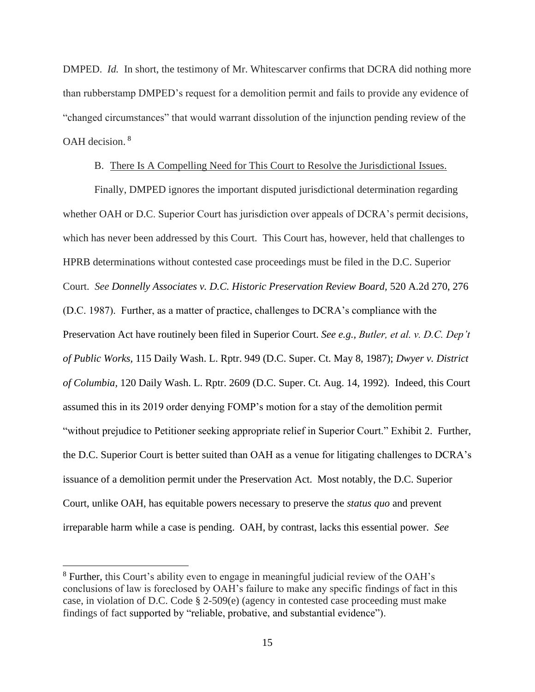DMPED. *Id.* In short, the testimony of Mr. Whitescarver confirms that DCRA did nothing more than rubberstamp DMPED's request for a demolition permit and fails to provide any evidence of "changed circumstances" that would warrant dissolution of the injunction pending review of the OAH decision. <sup>8</sup>

### B. There Is A Compelling Need for This Court to Resolve the Jurisdictional Issues.

Finally, DMPED ignores the important disputed jurisdictional determination regarding whether OAH or D.C. Superior Court has jurisdiction over appeals of DCRA's permit decisions, which has never been addressed by this Court. This Court has, however, held that challenges to HPRB determinations without contested case proceedings must be filed in the D.C. Superior Court. *See Donnelly Associates v. D.C. Historic Preservation Review Board,* 520 A.2d 270, 276 (D.C. 1987). Further, as a matter of practice, challenges to DCRA's compliance with the Preservation Act have routinely been filed in Superior Court. *See e.g., Butler, et al. v. D.C. Dep't of Public Works,* 115 Daily Wash. L. Rptr. 949 (D.C. Super. Ct. May 8, 1987); *Dwyer v. District of Columbia,* 120 Daily Wash. L. Rptr. 2609 (D.C. Super. Ct. Aug. 14, 1992). Indeed, this Court assumed this in its 2019 order denying FOMP's motion for a stay of the demolition permit "without prejudice to Petitioner seeking appropriate relief in Superior Court." Exhibit 2. Further, the D.C. Superior Court is better suited than OAH as a venue for litigating challenges to DCRA's issuance of a demolition permit under the Preservation Act. Most notably, the D.C. Superior Court, unlike OAH, has equitable powers necessary to preserve the *status quo* and prevent irreparable harm while a case is pending. OAH, by contrast, lacks this essential power. *See* 

<sup>8</sup> Further, this Court's ability even to engage in meaningful judicial review of the OAH's conclusions of law is foreclosed by OAH's failure to make any specific findings of fact in this case, in violation of D.C. Code § 2-509(e) (agency in contested case proceeding must make findings of fact supported by "reliable, probative, and substantial evidence").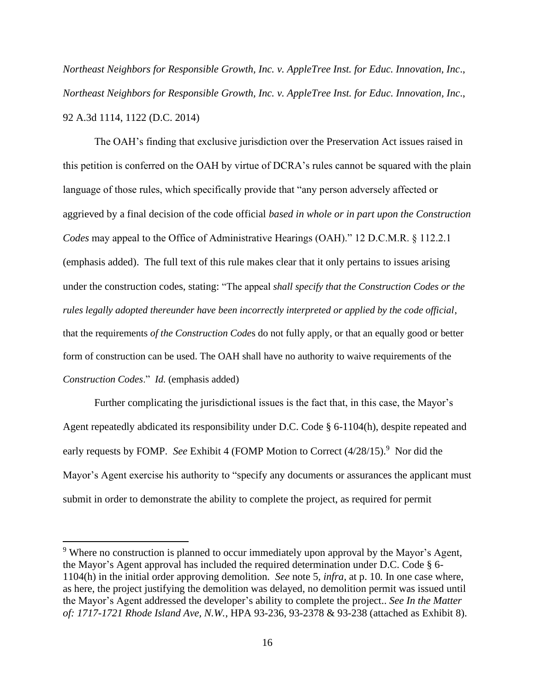*Northeast Neighbors for Responsible Growth, Inc. v. AppleTree Inst. for Educ. Innovation, Inc*., *Northeast Neighbors for Responsible Growth, Inc. v. AppleTree Inst. for Educ. Innovation, Inc*., 92 A.3d 1114, 1122 (D.C. 2014)

The OAH's finding that exclusive jurisdiction over the Preservation Act issues raised in this petition is conferred on the OAH by virtue of DCRA's rules cannot be squared with the plain language of those rules, which specifically provide that "any person adversely affected or aggrieved by a final decision of the code official *based in whole or in part upon the Construction Codes* may appeal to the Office of Administrative Hearings (OAH)." 12 D.C.M.R. § 112.2.1 (emphasis added). The full text of this rule makes clear that it only pertains to issues arising under the construction codes, stating: "The appeal *shall specify that the Construction Codes or the rules legally adopted thereunder have been incorrectly interpreted or applied by the code official*, that the requirements *of the Construction Code*s do not fully apply, or that an equally good or better form of construction can be used. The OAH shall have no authority to waive requirements of the *Construction Codes*." *Id.* (emphasis added)

Further complicating the jurisdictional issues is the fact that, in this case, the Mayor's Agent repeatedly abdicated its responsibility under D.C. Code § 6-1104(h), despite repeated and early requests by FOMP. See Exhibit 4 (FOMP Motion to Correct  $(4/28/15)$ .<sup>9</sup> Nor did the Mayor's Agent exercise his authority to "specify any documents or assurances the applicant must submit in order to demonstrate the ability to complete the project, as required for permit

<sup>&</sup>lt;sup>9</sup> Where no construction is planned to occur immediately upon approval by the Mayor's Agent, the Mayor's Agent approval has included the required determination under D.C. Code § 6- 1104(h) in the initial order approving demolition. *See* note 5*, infra,* at p. 10*.* In one case where, as here, the project justifying the demolition was delayed, no demolition permit was issued until the Mayor's Agent addressed the developer's ability to complete the project.. *See In the Matter of: 1717-1721 Rhode Island Ave, N.W.*, HPA 93-236, 93-2378 & 93-238 (attached as Exhibit 8).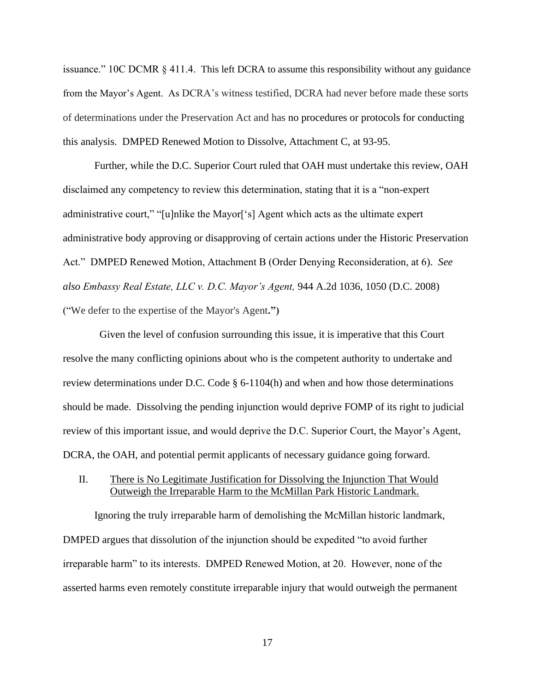issuance."  $10C$  DCMR  $\S$  411.4. This left DCRA to assume this responsibility without any guidance from the Mayor's Agent. As DCRA's witness testified, DCRA had never before made these sorts of determinations under the Preservation Act and has no procedures or protocols for conducting this analysis. DMPED Renewed Motion to Dissolve, Attachment C, at 93-95.

Further, while the D.C. Superior Court ruled that OAH must undertake this review, OAH disclaimed any competency to review this determination, stating that it is a "non-expert administrative court," "[u]nlike the Mayor['s] Agent which acts as the ultimate expert administrative body approving or disapproving of certain actions under the Historic Preservation Act." DMPED Renewed Motion, Attachment B (Order Denying Reconsideration, at 6). *See also Embassy Real Estate, LLC v. D.C. Mayor's Agent,* 944 A.2d 1036, 1050 (D.C. 2008) ("We defer to the expertise of the Mayor's Agent**.")**

 Given the level of confusion surrounding this issue, it is imperative that this Court resolve the many conflicting opinions about who is the competent authority to undertake and review determinations under D.C. Code § 6-1104(h) and when and how those determinations should be made. Dissolving the pending injunction would deprive FOMP of its right to judicial review of this important issue, and would deprive the D.C. Superior Court, the Mayor's Agent, DCRA, the OAH, and potential permit applicants of necessary guidance going forward.

### II. There is No Legitimate Justification for Dissolving the Injunction That Would Outweigh the Irreparable Harm to the McMillan Park Historic Landmark.

Ignoring the truly irreparable harm of demolishing the McMillan historic landmark, DMPED argues that dissolution of the injunction should be expedited "to avoid further irreparable harm" to its interests. DMPED Renewed Motion, at 20. However, none of the asserted harms even remotely constitute irreparable injury that would outweigh the permanent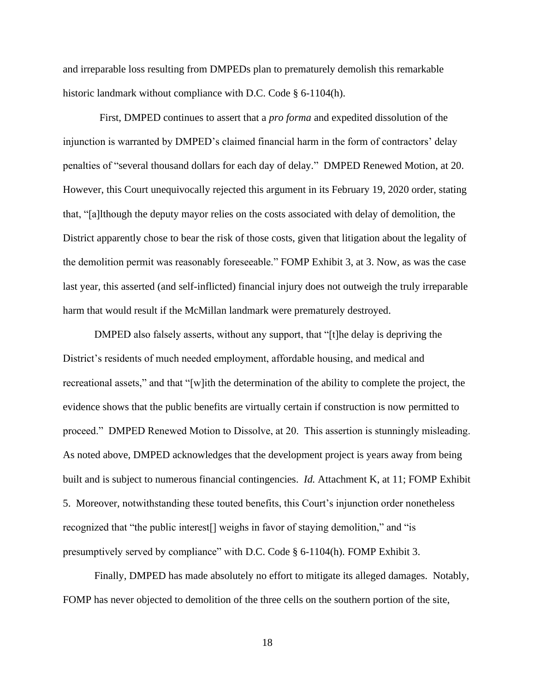and irreparable loss resulting from DMPEDs plan to prematurely demolish this remarkable historic landmark without compliance with D.C. Code § 6-1104(h).

 First, DMPED continues to assert that a *pro forma* and expedited dissolution of the injunction is warranted by DMPED's claimed financial harm in the form of contractors' delay penalties of "several thousand dollars for each day of delay." DMPED Renewed Motion, at 20. However, this Court unequivocally rejected this argument in its February 19, 2020 order, stating that, "[a]lthough the deputy mayor relies on the costs associated with delay of demolition, the District apparently chose to bear the risk of those costs, given that litigation about the legality of the demolition permit was reasonably foreseeable." FOMP Exhibit 3, at 3. Now, as was the case last year, this asserted (and self-inflicted) financial injury does not outweigh the truly irreparable harm that would result if the McMillan landmark were prematurely destroyed.

DMPED also falsely asserts, without any support, that "[t]he delay is depriving the District's residents of much needed employment, affordable housing, and medical and recreational assets," and that "[w]ith the determination of the ability to complete the project, the evidence shows that the public benefits are virtually certain if construction is now permitted to proceed." DMPED Renewed Motion to Dissolve, at 20. This assertion is stunningly misleading. As noted above, DMPED acknowledges that the development project is years away from being built and is subject to numerous financial contingencies. *Id.* Attachment K, at 11; FOMP Exhibit 5. Moreover, notwithstanding these touted benefits, this Court's injunction order nonetheless recognized that "the public interest[] weighs in favor of staying demolition," and "is presumptively served by compliance" with D.C. Code § 6-1104(h). FOMP Exhibit 3.

Finally, DMPED has made absolutely no effort to mitigate its alleged damages. Notably, FOMP has never objected to demolition of the three cells on the southern portion of the site,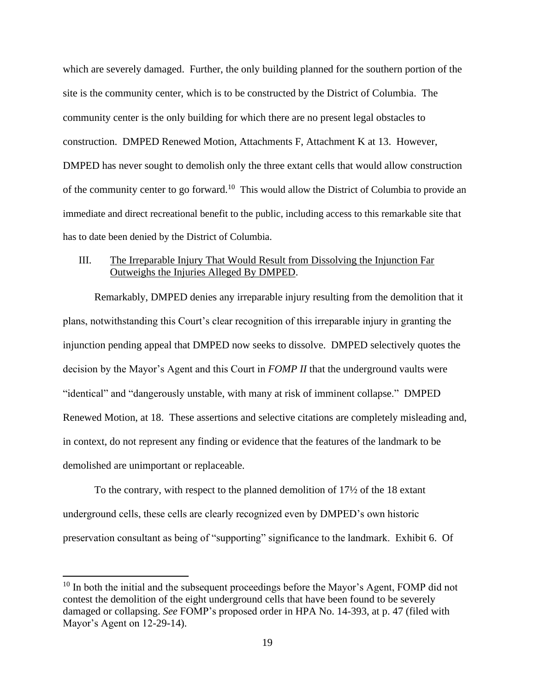which are severely damaged. Further, the only building planned for the southern portion of the site is the community center, which is to be constructed by the District of Columbia. The community center is the only building for which there are no present legal obstacles to construction. DMPED Renewed Motion, Attachments F, Attachment K at 13. However, DMPED has never sought to demolish only the three extant cells that would allow construction of the community center to go forward.<sup>10</sup> This would allow the District of Columbia to provide an immediate and direct recreational benefit to the public, including access to this remarkable site that has to date been denied by the District of Columbia.

## III. The Irreparable Injury That Would Result from Dissolving the Injunction Far Outweighs the Injuries Alleged By DMPED.

Remarkably, DMPED denies any irreparable injury resulting from the demolition that it plans, notwithstanding this Court's clear recognition of this irreparable injury in granting the injunction pending appeal that DMPED now seeks to dissolve. DMPED selectively quotes the decision by the Mayor's Agent and this Court in *FOMP II* that the underground vaults were "identical" and "dangerously unstable, with many at risk of imminent collapse." DMPED Renewed Motion, at 18. These assertions and selective citations are completely misleading and, in context, do not represent any finding or evidence that the features of the landmark to be demolished are unimportant or replaceable.

To the contrary, with respect to the planned demolition of 17½ of the 18 extant underground cells, these cells are clearly recognized even by DMPED's own historic preservation consultant as being of "supporting" significance to the landmark. Exhibit 6. Of

 $10$  In both the initial and the subsequent proceedings before the Mayor's Agent, FOMP did not contest the demolition of the eight underground cells that have been found to be severely damaged or collapsing. *See* FOMP's proposed order in HPA No. 14-393, at p. 47 (filed with Mayor's Agent on 12-29-14).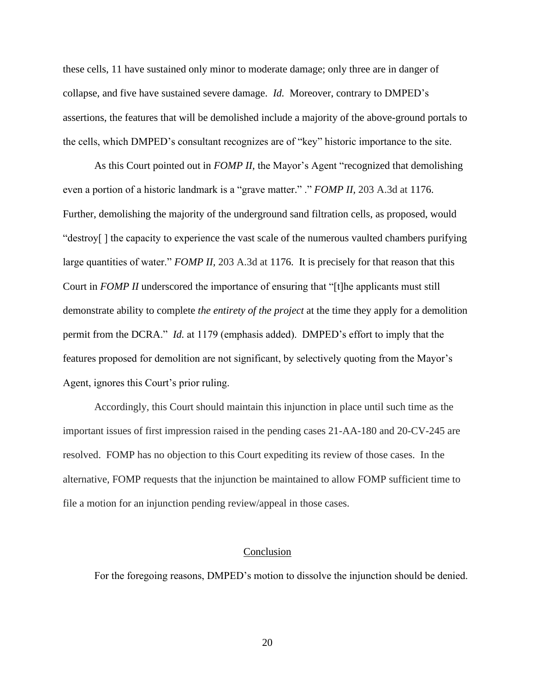these cells, 11 have sustained only minor to moderate damage; only three are in danger of collapse, and five have sustained severe damage. *Id.* Moreover, contrary to DMPED's assertions, the features that will be demolished include a majority of the above-ground portals to the cells, which DMPED's consultant recognizes are of "key" historic importance to the site.

As this Court pointed out in *FOMP II,* the Mayor's Agent "recognized that demolishing even a portion of a historic landmark is a "grave matter." ." *FOMP II,* 203 A.3d at 1176. Further, demolishing the majority of the underground sand filtration cells, as proposed, would "destroy[ ] the capacity to experience the vast scale of the numerous vaulted chambers purifying large quantities of water." *FOMP II,* 203 A.3d at 1176. It is precisely for that reason that this Court in *FOMP II* underscored the importance of ensuring that "[t]he applicants must still demonstrate ability to complete *the entirety of the project* at the time they apply for a demolition permit from the DCRA." *Id.* at 1179 (emphasis added). DMPED's effort to imply that the features proposed for demolition are not significant, by selectively quoting from the Mayor's Agent, ignores this Court's prior ruling.

Accordingly, this Court should maintain this injunction in place until such time as the important issues of first impression raised in the pending cases 21-AA-180 and 20-CV-245 are resolved. FOMP has no objection to this Court expediting its review of those cases. In the alternative, FOMP requests that the injunction be maintained to allow FOMP sufficient time to file a motion for an injunction pending review/appeal in those cases.

#### Conclusion

For the foregoing reasons, DMPED's motion to dissolve the injunction should be denied.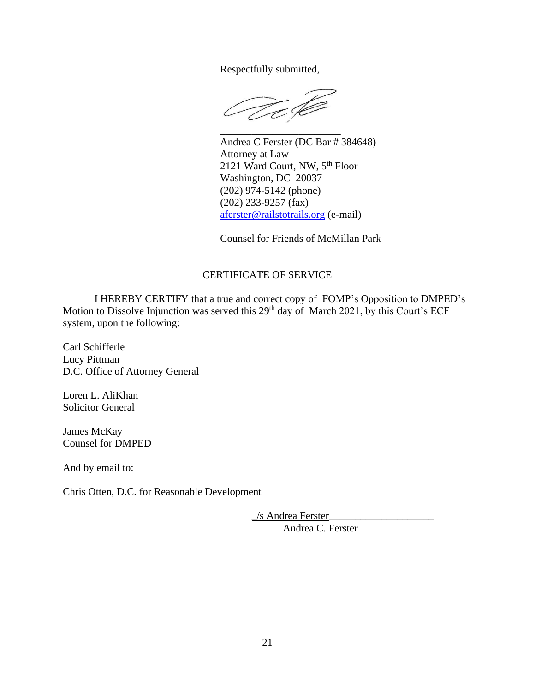Respectfully submitted,

 $\widetilde{\mathscr{U}}$ 

Andrea C Ferster (DC Bar # 384648) Attorney at Law 2121 Ward Court, NW, 5<sup>th</sup> Floor Washington, DC 20037 (202) 974-5142 (phone) (202) 233-9257 (fax) [aferster@railstotrails.org](mailto:aferster@railstotrails.org) (e-mail)

Counsel for Friends of McMillan Park

# CERTIFICATE OF SERVICE

I HEREBY CERTIFY that a true and correct copy of FOMP's Opposition to DMPED's Motion to Dissolve Injunction was served this 29<sup>th</sup> day of March 2021, by this Court's ECF system, upon the following:

Carl Schifferle Lucy Pittman D.C. Office of Attorney General

Loren L. AliKhan Solicitor General

James McKay Counsel for DMPED

And by email to:

Chris Otten, D.C. for Reasonable Development

\_/s Andrea Ferster\_\_\_\_\_\_\_\_\_\_\_\_\_\_\_\_\_\_\_\_ Andrea C. Ferster